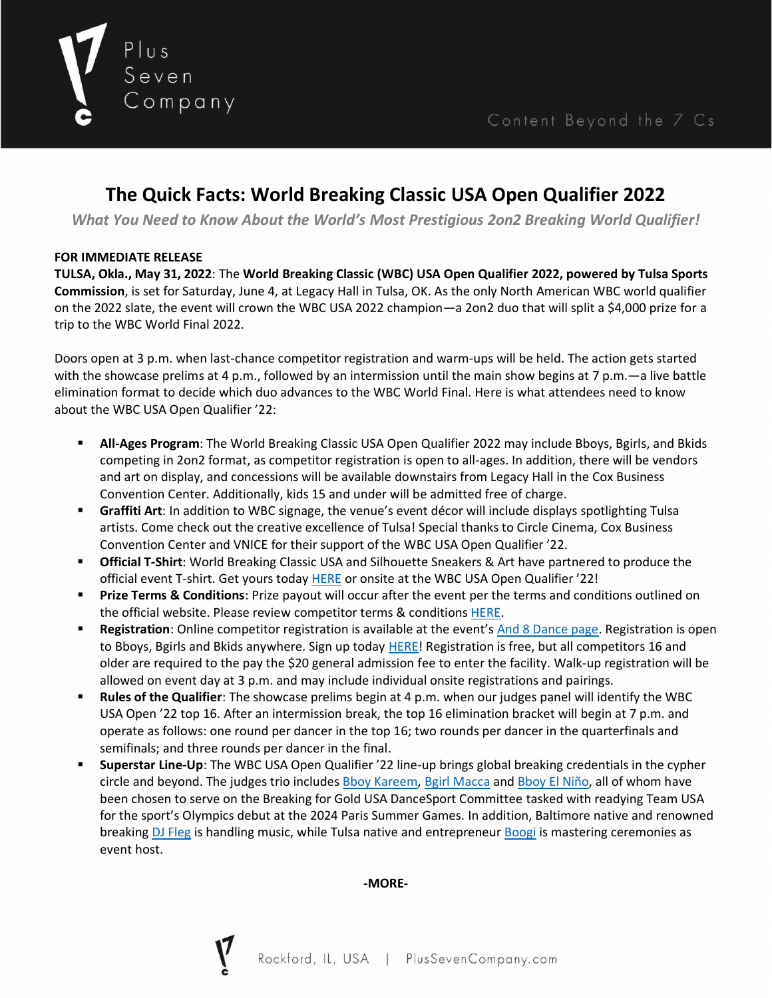

# **The Quick Facts: World Breaking Classic USA Open Qualifier 2022**

*What You Need to Know About the World's Most Prestigious 2on2 Breaking World Qualifier!*

# **FOR IMMEDIATE RELEASE**

**TULSA, Okla., May 31, 2022**: The **World Breaking Classic (WBC) USA Open Qualifier 2022, powered by Tulsa Sports Commission**, is set for Saturday, June 4, at Legacy Hall in Tulsa, OK. As the only North American WBC world qualifier on the 2022 slate, the event will crown the WBC USA 2022 champion—a 2on2 duo that will split a \$4,000 prize for a trip to the WBC World Final 2022.

Doors open at 3 p.m. when last-chance competitor registration and warm-ups will be held. The action gets started with the showcase prelims at 4 p.m., followed by an intermission until the main show begins at 7 p.m.—a live battle elimination format to decide which duo advances to the WBC World Final. Here is what attendees need to know about the WBC USA Open Qualifier '22:

- **All-Ages Program**: The World Breaking Classic USA Open Qualifier 2022 may include Bboys, Bgirls, and Bkids competing in 2on2 format, as competitor registration is open to all-ages. In addition, there will be vendors and art on display, and concessions will be available downstairs from Legacy Hall in the Cox Business Convention Center. Additionally, kids 15 and under will be admitted free of charge.
- **Graffiti Art**: In addition to WBC signage, the venue's event décor will include displays spotlighting Tulsa artists. Come check out the creative excellence of Tulsa! Special thanks to Circle Cinema, Cox Business Convention Center and VNICE for their support of the WBC USA Open Qualifier '22.
- **Official T-Shirt**: World Breaking Classic USA and Silhouette Sneakers & Art have partnered to produce the official event T-shirt. Get yours today [HERE](https://silhouettetulsa.com/product/world-breaking-class-22-x-silhouette-tee-black/) or onsite at the WBC USA Open Qualifier '22!
- **Prize Terms & Conditions**: Prize payout will occur after the event per the terms and conditions outlined on the official website. Please review competitor terms & condition[s HERE.](https://www.plussevencompany.com/_files/ugd/eca76c_6d2888e8fe504f24969a6802d6126471.pdf)
- **EXECT** Registration: Online competitor registration is available at the event's [And 8 Dance page.](https://and8.dance/en/e/3834) Registration is open to Bboys, Bgirls and Bkids anywhere. Sign up today **HERE!** Registration is free, but all competitors 16 and older are required to the pay the \$20 general admission fee to enter the facility. Walk-up registration will be allowed on event day at 3 p.m. and may include individual onsite registrations and pairings.
- **Rules of the Qualifier**: The showcase prelims begin at 4 p.m. when our judges panel will identify the WBC USA Open '22 top 16. After an intermission break, the top 16 elimination bracket will begin at 7 p.m. and operate as follows: one round per dancer in the top 16; two rounds per dancer in the quarterfinals and semifinals; and three rounds per dancer in the final.
- **Superstar Line-Up**: The WBC USA Open Qualifier '22 line-up brings global breaking credentials in the cypher circle and beyond. The judges trio includes [Bboy Kareem,](https://www.instagram.com/bboykareem/) [Bgirl Macca](https://www.instagram.com/bgirlmacca/) an[d Bboy El Niño,](https://www.instagram.com/bboyelnino/) all of whom have been chosen to serve on the Breaking for Gold USA DanceSport Committee tasked with readying Team USA for the sport's Olympics debut at the 2024 Paris Summer Games. In addition, Baltimore native and renowned breaking [DJ Fleg](https://www.instagram.com/djfleg/) is handling music, while Tulsa native and entrepreneur [Boogi](https://www.instagram.com/boogi.walker/) is mastering ceremonies as event host.

#### **-MORE-**